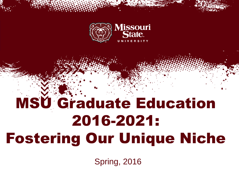

# MSU Graduate Education 2016-2021: Fostering Our Unique Niche

Spring, 2016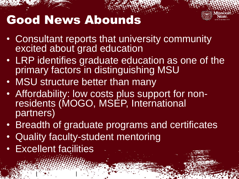## Good News Abounds

- Consultant reports that university community excited about grad education
- LRP identifies graduate education as one of the primary factors in distinguishing MSU
- MSU structure better than many
- Affordability: low costs plus support for nonresidents (MOGO, MSEP, International partners)
- Breadth of graduate programs and certificates
- Quality faculty-student mentoring
- Excellent facilities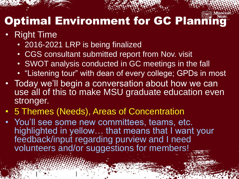## **Optimal Environment for GC Planning**

#### • Right Time

• 2016-2021 LRP is being finalized

- CGS consultant submitted report from Nov. visit
- SWOT analysis conducted in GC meetings in the fall
- "Listening tour" with dean of every college; GPDs in most
- Today we'll begin a conversation about how we can use all of this to make MSU graduate education even stronger.
- 5 Themes (Needs), Areas of Concentration
- You'll see some new committees, teams, etc. highlighted in yellow… that means that I want your feedback/input regarding purview and I need volunteers and/or suggestions for members!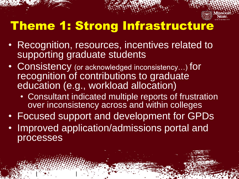

## Theme 1: Strong Infrastructure

- Recognition, resources, incentives related to supporting graduate students
- Consistency (or acknowledged inconsistency...) for recognition of contributions to graduate education (e.g., workload allocation)
	- Consultant indicated multiple reports of frustration over inconsistency across and within colleges
- Focused support and development for GPDs
- Improved application/admissions portal and processes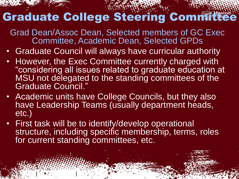## Graduate College Steering Committee

Grad Dean/Assoc Dean, Selected members of GC Exec Committee, Academic Dean, Selected GPDs

- Graduate Council will always have curricular authority
- However, the Exec Committee currently charged with "considering all issues related to graduate education at MSU not delegated to the standing committees of the Graduate Council."
- Academic units have College Councils, but they also have Leadership Teams (usually department heads, etc.)
- First task will be to identify/develop operational structure, including specific membership, terms, roles for current standing committees, etc.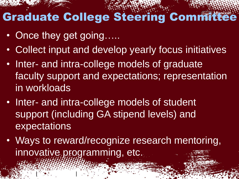## Graduate College Steering Committee

• Once they get going.....

- Collect input and develop yearly focus initiatives
- Inter- and intra-college models of graduate faculty support and expectations; representation in workloads
- Inter- and intra-college models of student support (including GA stipend levels) and expectations
- Ways to reward/recognize research mentoring, innovative programming, etc.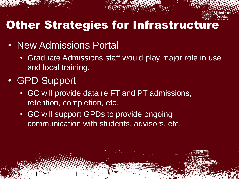

#### Other Strategies for Infrastructure

- New Admissions Portal
	- Graduate Admissions staff would play major role in use and local training.
- GPD Support

- GC will provide data re FT and PT admissions, retention, completion, etc.
- GC will support GPDs to provide ongoing communication with students, advisors, etc.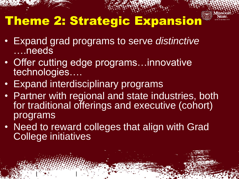

## Theme 2: Strategic Expansion

- Expand grad programs to serve *distinctive*  ….needs
- Offer cutting edge programs...innovative technologies….
- **Expand interdisciplinary programs**

- Partner with regional and state industries, both for traditional offerings and executive (cohort) programs
- Need to reward colleges that align with Grad College initiatives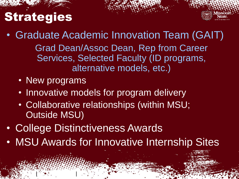## **Strategies**



• Graduate Academic Innovation Team (GAIT) Grad Dean/Assoc Dean, Rep from Career Services, Selected Faculty (ID programs, alternative models, etc.)

• New programs

- Innovative models for program delivery
- Collaborative relationships (within MSU; Outside MSU)
- College Distinctiveness Awards
- MSU Awards for Innovative Internship Sites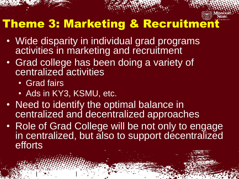

### Theme 3: Marketing & Recruitment

- Wide disparity in individual grad programs activities in marketing and recruitment
- Grad college has been doing a variety of centralized activities
	- Grad fairs
	- Ads in KY3, KSMU, etc.

- Need to identify the optimal balance in centralized and decentralized approaches
- Role of Grad College will be not only to engage in centralized, but also to support decentralized efforts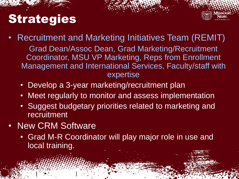## **Strategies**

- Recruitment and Marketing Initiatives Team (REMIT) Grad Dean/Assoc Dean, Grad Marketing/Recruitment Coordinator, MSU VP Marketing, Reps from Enrollment Management and International Services, Faculty/staff with expertise
	- Develop a 3-year marketing/recruitment plan
	- Meet regularly to monitor and assess implementation
	- Suggest budgetary priorities related to marketing and recruitment
- New CRM Software

 $\mathcal{L}^{\mathcal{L}}$  (See ). The set of  $\mathcal{L}^{\mathcal{L}}$ 

• Grad M-R Coordinator will play major role in use and local training.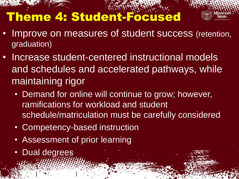## Theme 4: Student-Focused

- 
- Improve on measures of student success (retention, graduation)
- Increase student-centered instructional models and schedules and accelerated pathways, while maintaining rigor
	- Demand for online will continue to grow; however, ramifications for workload and student schedule/matriculation must be carefully considered
	- Competency-based instruction
	- Assessment of prior learning
	- Dual degrees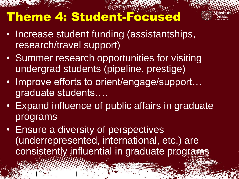## Theme 4: Student-Focused



- Increase student funding (assistantships, research/travel support)
- Summer research opportunities for visiting undergrad students (pipeline, prestige)
- Improve efforts to orient/engage/support... graduate students….
- Expand influence of public affairs in graduate programs
- Ensure a diversity of perspectives (underrepresented, international, etc.) are consistently influential in graduate programs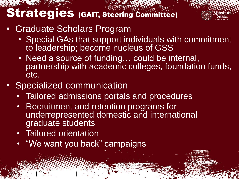#### Strategies (GAIT, Steering Committee)

- Graduate Scholars Program
	- Special GAs that support individuals with commitment to leadership; become nucleus of GSS
	- Need a source of funding... could be internal, partnership with academic colleges, foundation funds, etc.
- Specialized communication
	- Tailored admissions portals and procedures
	- Recruitment and retention programs for underrepresented domestic and international graduate students
	- Tailored orientation

 $\mathcal{L}^{\mathcal{L}}$  (See ). The set of  $\mathcal{L}^{\mathcal{L}}$ 

• "We want you back" campaigns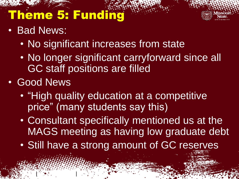## Theme 5: Funding



- Bad News:
	- No significant increases from state
	- No longer significant carryforward since all GC staff positions are filled
- Good News

- "High quality education at a competitive price" (many students say this)
- Consultant specifically mentioned us at the MAGS meeting as having low graduate debt
- Still have a strong amount of GC reserves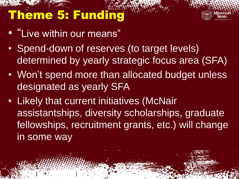## Theme 5: Funding

• "Live within our means"

- Spend-down of reserves (to target levels) determined by yearly strategic focus area (SFA)
- Won't spend more than allocated budget unless designated as yearly SFA
- Likely that current initiatives (McNair assistantships, diversity scholarships, graduate fellowships, recruitment grants, etc.) will change in some way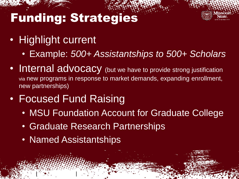## Funding: Strategies



- Highlight current
	- Example: *500+ Assistantships to 500+ Scholars*
- Internal advocacy (but we have to provide strong justification via new programs in response to market demands, expanding enrollment, new partnerships)
- Focused Fund Raising
	- MSU Foundation Account for Graduate College
	- Graduate Research Partnerships
	- Named Assistantships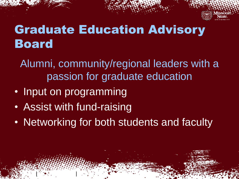

## Graduate Education Advisory Board

Alumni, community/regional leaders with a passion for graduate education

- Input on programming
- Assist with fund-raising

 $\mathcal{L}^{\mathcal{L}}$  (See ). The set of  $\mathcal{L}^{\mathcal{L}}$ 

• Networking for both students and faculty